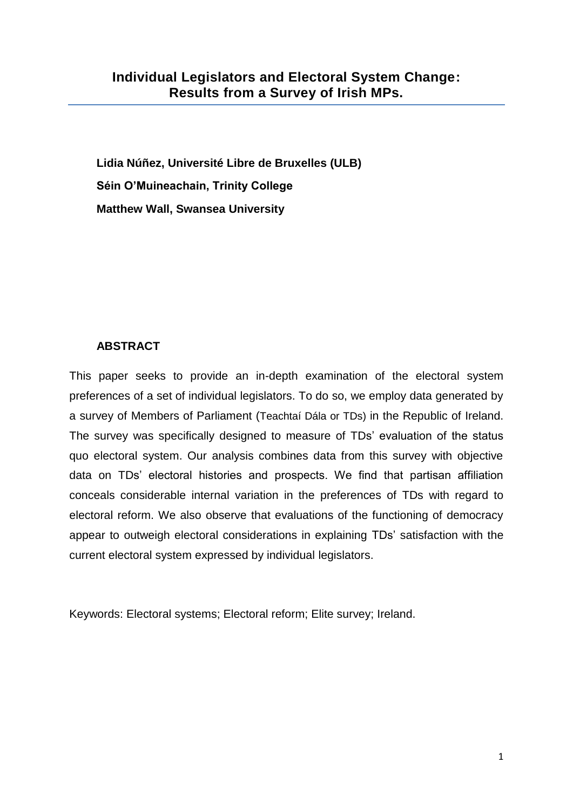**Lidia Núñez, Université Libre de Bruxelles (ULB) Séin O'Muineachain, Trinity College Matthew Wall, Swansea University**

## **ABSTRACT**

This paper seeks to provide an in-depth examination of the electoral system preferences of a set of individual legislators. To do so, we employ data generated by a survey of Members of Parliament (Teachtaí Dála or TDs) in the Republic of Ireland. The survey was specifically designed to measure of TDs' evaluation of the status quo electoral system. Our analysis combines data from this survey with objective data on TDs' electoral histories and prospects. We find that partisan affiliation conceals considerable internal variation in the preferences of TDs with regard to electoral reform. We also observe that evaluations of the functioning of democracy appear to outweigh electoral considerations in explaining TDs' satisfaction with the current electoral system expressed by individual legislators.

Keywords: Electoral systems; Electoral reform; Elite survey; Ireland.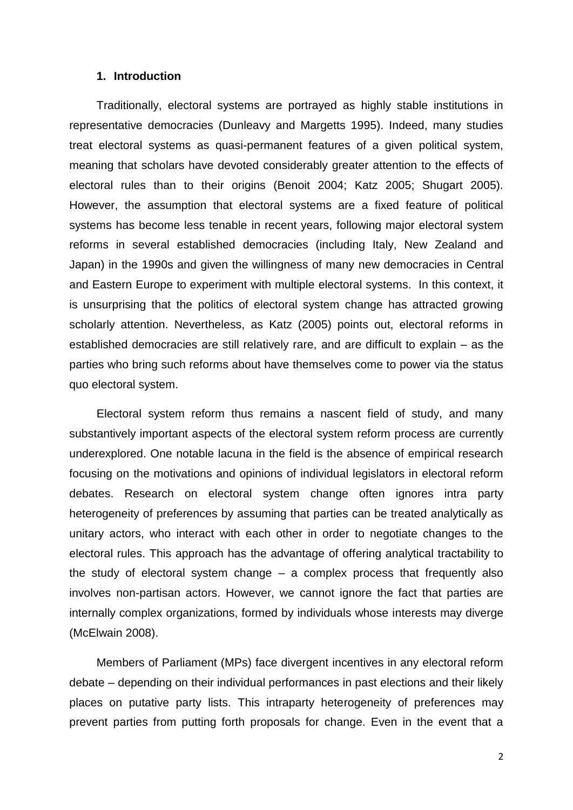#### **1. Introduction**

Traditionally, electoral systems are portrayed as highly stable institutions in representative democracies (Dunleavy and Margetts 1995). Indeed, many studies treat electoral systems as quasi-permanent features of a given political system, meaning that scholars have devoted considerably greater attention to the effects of electoral rules than to their origins (Benoit 2004; Katz 2005; Shugart 2005). However, the assumption that electoral systems are a fixed feature of political systems has become less tenable in recent years, following major electoral system reforms in several established democracies (including Italy, New Zealand and Japan) in the 1990s and given the willingness of many new democracies in Central and Eastern Europe to experiment with multiple electoral systems. In this context, it is unsurprising that the politics of electoral system change has attracted growing scholarly attention. Nevertheless, as Katz (2005) points out, electoral reforms in established democracies are still relatively rare, and are difficult to explain – as the parties who bring such reforms about have themselves come to power via the status quo electoral system.

Electoral system reform thus remains a nascent field of study, and many substantively important aspects of the electoral system reform process are currently underexplored. One notable lacuna in the field is the absence of empirical research focusing on the motivations and opinions of individual legislators in electoral reform debates. Research on electoral system change often ignores intra party heterogeneity of preferences by assuming that parties can be treated analytically as unitary actors, who interact with each other in order to negotiate changes to the electoral rules. This approach has the advantage of offering analytical tractability to the study of electoral system change – a complex process that frequently also involves non-partisan actors. However, we cannot ignore the fact that parties are internally complex organizations, formed by individuals whose interests may diverge (McElwain 2008).

Members of Parliament (MPs) face divergent incentives in any electoral reform debate – depending on their individual performances in past elections and their likely places on putative party lists. This intraparty heterogeneity of preferences may prevent parties from putting forth proposals for change. Even in the event that a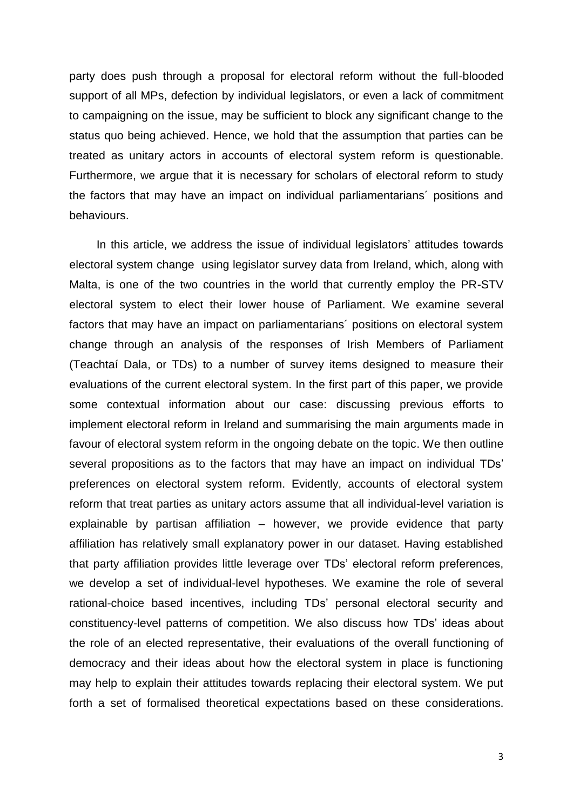party does push through a proposal for electoral reform without the full-blooded support of all MPs, defection by individual legislators, or even a lack of commitment to campaigning on the issue, may be sufficient to block any significant change to the status quo being achieved. Hence, we hold that the assumption that parties can be treated as unitary actors in accounts of electoral system reform is questionable. Furthermore, we argue that it is necessary for scholars of electoral reform to study the factors that may have an impact on individual parliamentarians´ positions and behaviours.

In this article, we address the issue of individual legislators' attitudes towards electoral system change using legislator survey data from Ireland, which, along with Malta, is one of the two countries in the world that currently employ the PR-STV electoral system to elect their lower house of Parliament. We examine several factors that may have an impact on parliamentarians´ positions on electoral system change through an analysis of the responses of Irish Members of Parliament (Teachtaí Dala, or TDs) to a number of survey items designed to measure their evaluations of the current electoral system. In the first part of this paper, we provide some contextual information about our case: discussing previous efforts to implement electoral reform in Ireland and summarising the main arguments made in favour of electoral system reform in the ongoing debate on the topic. We then outline several propositions as to the factors that may have an impact on individual TDs' preferences on electoral system reform. Evidently, accounts of electoral system reform that treat parties as unitary actors assume that all individual-level variation is explainable by partisan affiliation – however, we provide evidence that party affiliation has relatively small explanatory power in our dataset. Having established that party affiliation provides little leverage over TDs' electoral reform preferences, we develop a set of individual-level hypotheses. We examine the role of several rational-choice based incentives, including TDs' personal electoral security and constituency-level patterns of competition. We also discuss how TDs' ideas about the role of an elected representative, their evaluations of the overall functioning of democracy and their ideas about how the electoral system in place is functioning may help to explain their attitudes towards replacing their electoral system. We put forth a set of formalised theoretical expectations based on these considerations.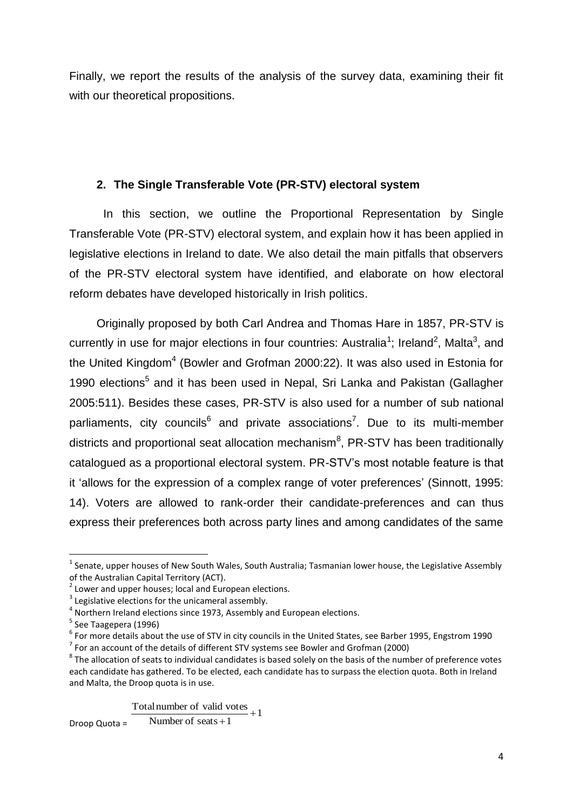Finally, we report the results of the analysis of the survey data, examining their fit with our theoretical propositions.

## **2. The Single Transferable Vote (PR-STV) electoral system**

In this section, we outline the Proportional Representation by Single Transferable Vote (PR-STV) electoral system, and explain how it has been applied in legislative elections in Ireland to date. We also detail the main pitfalls that observers of the PR-STV electoral system have identified, and elaborate on how electoral reform debates have developed historically in Irish politics.

Originally proposed by both Carl Andrea and Thomas Hare in 1857, PR-STV is currently in use for major elections in four countries: Australia<sup>1</sup>; Ireland<sup>2</sup>, Malta<sup>3</sup>, and the United Kingdom<sup>4</sup> (Bowler and Grofman 2000:22). It was also used in Estonia for 1990 elections<sup>5</sup> and it has been used in Nepal, Sri Lanka and Pakistan (Gallagher 2005:511). Besides these cases, PR-STV is also used for a number of sub national parliaments, city councils<sup>6</sup> and private associations<sup>7</sup>. Due to its multi-member districts and proportional seat allocation mechanism ${}^{8}$ , PR-STV has been traditionally catalogued as a proportional electoral system. PR-STV's most notable feature is that it 'allows for the expression of a complex range of voter preferences' (Sinnott, 1995: 14). Voters are allowed to rank-order their candidate-preferences and can thus express their preferences both across party lines and among candidates of the same

**.** 

Total number of valid votes  $+1$ 

Droop Quota = Number of  $seats + 1$ 

 $<sup>1</sup>$  Senate, upper houses of New South Wales, South Australia; Tasmanian lower house, the Legislative Assembly</sup> of the Australian Capital Territory (ACT).

<sup>2</sup> Lower and upper houses; local and European elections.

 $3$  Legislative elections for the unicameral assembly.

 $<sup>4</sup>$  Northern Ireland elections since 1973, Assembly and European elections.</sup>

<sup>&</sup>lt;sup>5</sup> See Taagepera (1996)

 $^6$  For more details about the use of STV in city councils in the United States, see Barber 1995, Engstrom 1990

 $<sup>7</sup>$  For an account of the details of different STV systems see Bowler and Grofman (2000)</sup>

 $^8$  The allocation of seats to individual candidates is based solely on the basis of the number of preference votes each candidate has gathered. To be elected, each candidate has to surpass the election quota. Both in Ireland and Malta, the Droop quota is in use.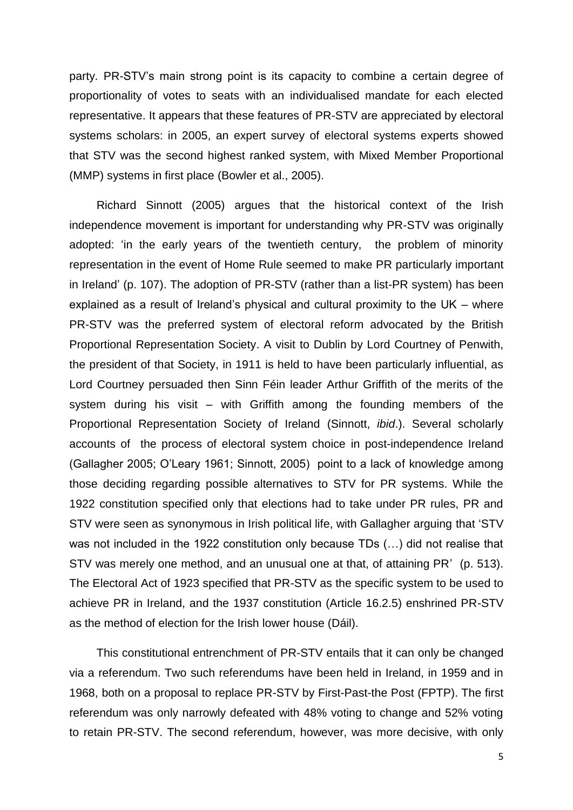party. PR-STV's main strong point is its capacity to combine a certain degree of proportionality of votes to seats with an individualised mandate for each elected representative. It appears that these features of PR-STV are appreciated by electoral systems scholars: in 2005, an expert survey of electoral systems experts showed that STV was the second highest ranked system, with Mixed Member Proportional (MMP) systems in first place (Bowler et al., 2005).

Richard Sinnott (2005) argues that the historical context of the Irish independence movement is important for understanding why PR-STV was originally adopted: 'in the early years of the twentieth century, the problem of minority representation in the event of Home Rule seemed to make PR particularly important in Ireland' (p. 107). The adoption of PR-STV (rather than a list-PR system) has been explained as a result of Ireland's physical and cultural proximity to the UK – where PR-STV was the preferred system of electoral reform advocated by the British Proportional Representation Society. A visit to Dublin by Lord Courtney of Penwith, the president of that Society, in 1911 is held to have been particularly influential, as Lord Courtney persuaded then Sinn Féin leader Arthur Griffith of the merits of the system during his visit – with Griffith among the founding members of the Proportional Representation Society of Ireland (Sinnott, *ibid*.). Several scholarly accounts of the process of electoral system choice in post-independence Ireland (Gallagher 2005; O'Leary 1961; Sinnott, 2005) point to a lack of knowledge among those deciding regarding possible alternatives to STV for PR systems. While the 1922 constitution specified only that elections had to take under PR rules, PR and STV were seen as synonymous in Irish political life, with Gallagher arguing that 'STV was not included in the 1922 constitution only because TDs (…) did not realise that STV was merely one method, and an unusual one at that, of attaining PR' (p. 513). The Electoral Act of 1923 specified that PR-STV as the specific system to be used to achieve PR in Ireland, and the 1937 constitution (Article 16.2.5) enshrined PR-STV as the method of election for the Irish lower house (Dáil).

This constitutional entrenchment of PR-STV entails that it can only be changed via a referendum. Two such referendums have been held in Ireland, in 1959 and in 1968, both on a proposal to replace PR-STV by First-Past-the Post (FPTP). The first referendum was only narrowly defeated with 48% voting to change and 52% voting to retain PR-STV. The second referendum, however, was more decisive, with only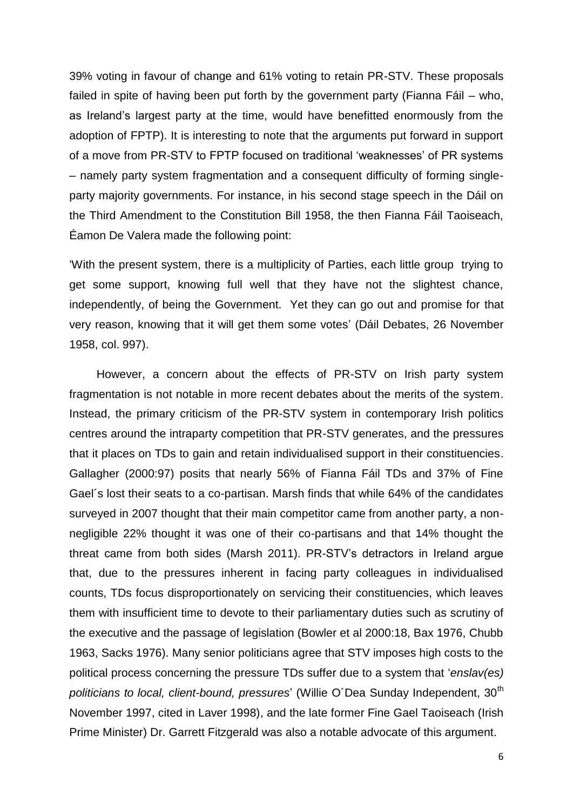39% voting in favour of change and 61% voting to retain PR-STV. These proposals failed in spite of having been put forth by the government party (Fianna Fáil – who, as Ireland's largest party at the time, would have benefitted enormously from the adoption of FPTP). It is interesting to note that the arguments put forward in support of a move from PR-STV to FPTP focused on traditional 'weaknesses' of PR systems – namely party system fragmentation and a consequent difficulty of forming singleparty majority governments. For instance, in his second stage speech in the Dáil on the Third Amendment to the Constitution Bill 1958, the then Fianna Fáil Taoiseach, Éamon De Valera made the following point:

'With the present system, there is a multiplicity of Parties, each little group trying to get some support, knowing full well that they have not the slightest chance, independently, of being the Government. Yet they can go out and promise for that very reason, knowing that it will get them some votes' (Dáil Debates, 26 November 1958, col. 997).

However, a concern about the effects of PR-STV on Irish party system fragmentation is not notable in more recent debates about the merits of the system. Instead, the primary criticism of the PR-STV system in contemporary Irish politics centres around the intraparty competition that PR-STV generates, and the pressures that it places on TDs to gain and retain individualised support in their constituencies. Gallagher (2000:97) posits that nearly 56% of Fianna Fáil TDs and 37% of Fine Gael´s lost their seats to a co-partisan. Marsh finds that while 64% of the candidates surveyed in 2007 thought that their main competitor came from another party, a nonnegligible 22% thought it was one of their co-partisans and that 14% thought the threat came from both sides (Marsh 2011). PR-STV's detractors in Ireland argue that, due to the pressures inherent in facing party colleagues in individualised counts, TDs focus disproportionately on servicing their constituencies, which leaves them with insufficient time to devote to their parliamentary duties such as scrutiny of the executive and the passage of legislation (Bowler et al 2000:18, Bax 1976, Chubb 1963, Sacks 1976). Many senior politicians agree that STV imposes high costs to the political process concerning the pressure TDs suffer due to a system that '*enslav(es)*  politicians to local, client-bound, pressures' (Willie O'Dea Sunday Independent, 30<sup>th</sup> November 1997, cited in Laver 1998), and the late former Fine Gael Taoiseach (Irish Prime Minister) Dr. Garrett Fitzgerald was also a notable advocate of this argument.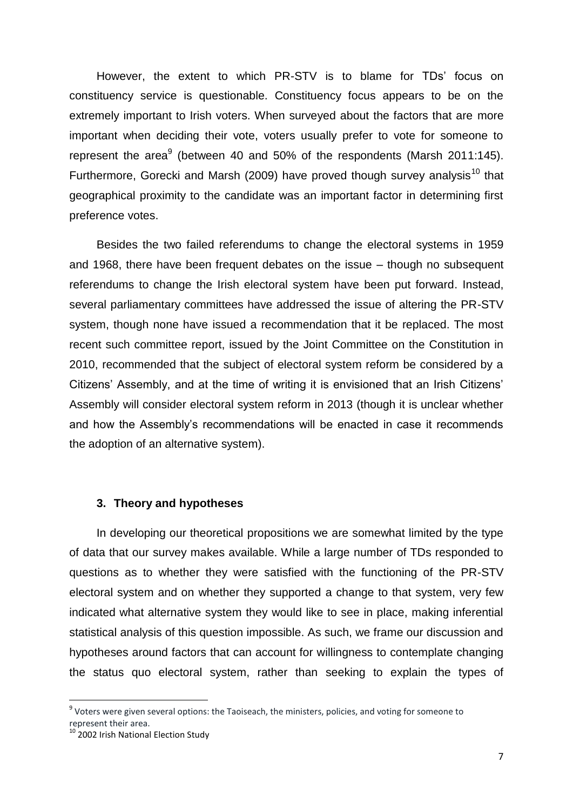However, the extent to which PR-STV is to blame for TDs' focus on constituency service is questionable. Constituency focus appears to be on the extremely important to Irish voters. When surveyed about the factors that are more important when deciding their vote, voters usually prefer to vote for someone to represent the area $9$  (between 40 and 50% of the respondents (Marsh 2011:145). Furthermore, Gorecki and Marsh (2009) have proved though survey analysis<sup>10</sup> that geographical proximity to the candidate was an important factor in determining first preference votes.

Besides the two failed referendums to change the electoral systems in 1959 and 1968, there have been frequent debates on the issue – though no subsequent referendums to change the Irish electoral system have been put forward. Instead, several parliamentary committees have addressed the issue of altering the PR-STV system, though none have issued a recommendation that it be replaced. The most recent such committee report, issued by the Joint Committee on the Constitution in 2010, recommended that the subject of electoral system reform be considered by a Citizens' Assembly, and at the time of writing it is envisioned that an Irish Citizens' Assembly will consider electoral system reform in 2013 (though it is unclear whether and how the Assembly's recommendations will be enacted in case it recommends the adoption of an alternative system).

#### **3. Theory and hypotheses**

In developing our theoretical propositions we are somewhat limited by the type of data that our survey makes available. While a large number of TDs responded to questions as to whether they were satisfied with the functioning of the PR-STV electoral system and on whether they supported a change to that system, very few indicated what alternative system they would like to see in place, making inferential statistical analysis of this question impossible. As such, we frame our discussion and hypotheses around factors that can account for willingness to contemplate changing the status quo electoral system, rather than seeking to explain the types of

**.** 

<sup>&</sup>lt;sup>9</sup> Voters were given several options: the Taoiseach, the ministers, policies, and voting for someone to represent their area.

<sup>&</sup>lt;sup>10</sup> 2002 Irish National Election Study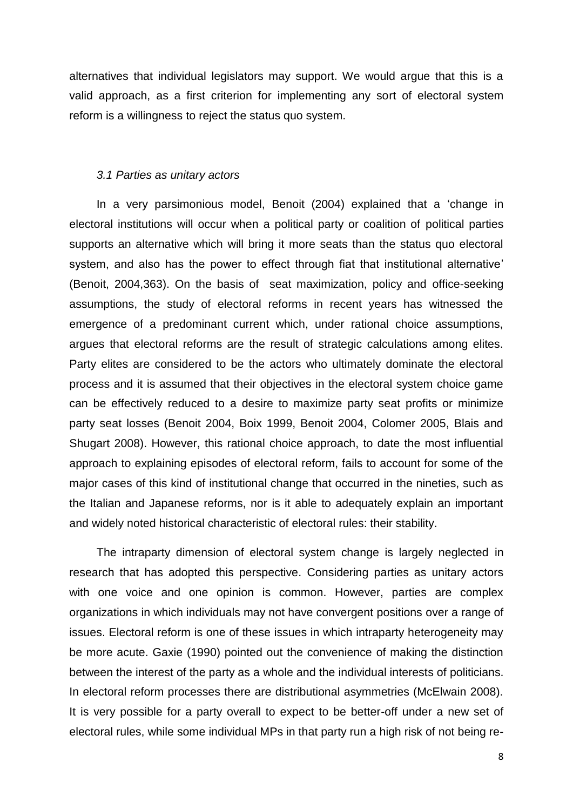alternatives that individual legislators may support. We would argue that this is a valid approach, as a first criterion for implementing any sort of electoral system reform is a willingness to reject the status quo system.

#### *3.1 Parties as unitary actors*

In a very parsimonious model, Benoit (2004) explained that a 'change in electoral institutions will occur when a political party or coalition of political parties supports an alternative which will bring it more seats than the status quo electoral system, and also has the power to effect through fiat that institutional alternative' (Benoit, 2004,363). On the basis of seat maximization, policy and office-seeking assumptions, the study of electoral reforms in recent years has witnessed the emergence of a predominant current which, under rational choice assumptions, argues that electoral reforms are the result of strategic calculations among elites. Party elites are considered to be the actors who ultimately dominate the electoral process and it is assumed that their objectives in the electoral system choice game can be effectively reduced to a desire to maximize party seat profits or minimize party seat losses (Benoit 2004, Boix 1999, Benoit 2004, Colomer 2005, Blais and Shugart 2008). However, this rational choice approach, to date the most influential approach to explaining episodes of electoral reform, fails to account for some of the major cases of this kind of institutional change that occurred in the nineties, such as the Italian and Japanese reforms, nor is it able to adequately explain an important and widely noted historical characteristic of electoral rules: their stability.

The intraparty dimension of electoral system change is largely neglected in research that has adopted this perspective. Considering parties as unitary actors with one voice and one opinion is common. However, parties are complex organizations in which individuals may not have convergent positions over a range of issues. Electoral reform is one of these issues in which intraparty heterogeneity may be more acute. Gaxie (1990) pointed out the convenience of making the distinction between the interest of the party as a whole and the individual interests of politicians. In electoral reform processes there are distributional asymmetries (McElwain 2008). It is very possible for a party overall to expect to be better-off under a new set of electoral rules, while some individual MPs in that party run a high risk of not being re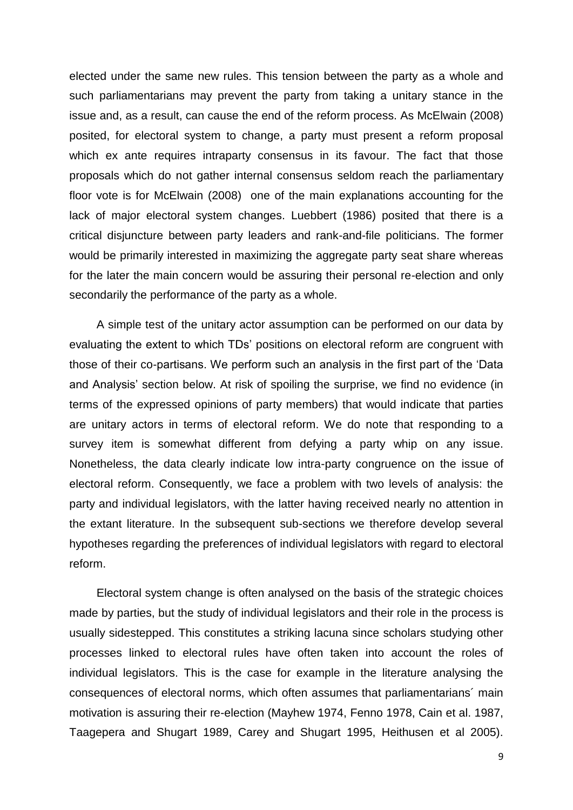elected under the same new rules. This tension between the party as a whole and such parliamentarians may prevent the party from taking a unitary stance in the issue and, as a result, can cause the end of the reform process. As McElwain (2008) posited, for electoral system to change, a party must present a reform proposal which ex ante requires intraparty consensus in its favour. The fact that those proposals which do not gather internal consensus seldom reach the parliamentary floor vote is for McElwain (2008) one of the main explanations accounting for the lack of major electoral system changes. Luebbert (1986) posited that there is a critical disjuncture between party leaders and rank-and-file politicians. The former would be primarily interested in maximizing the aggregate party seat share whereas for the later the main concern would be assuring their personal re-election and only secondarily the performance of the party as a whole.

A simple test of the unitary actor assumption can be performed on our data by evaluating the extent to which TDs' positions on electoral reform are congruent with those of their co-partisans. We perform such an analysis in the first part of the 'Data and Analysis' section below. At risk of spoiling the surprise, we find no evidence (in terms of the expressed opinions of party members) that would indicate that parties are unitary actors in terms of electoral reform. We do note that responding to a survey item is somewhat different from defying a party whip on any issue. Nonetheless, the data clearly indicate low intra-party congruence on the issue of electoral reform. Consequently, we face a problem with two levels of analysis: the party and individual legislators, with the latter having received nearly no attention in the extant literature. In the subsequent sub-sections we therefore develop several hypotheses regarding the preferences of individual legislators with regard to electoral reform.

Electoral system change is often analysed on the basis of the strategic choices made by parties, but the study of individual legislators and their role in the process is usually sidestepped. This constitutes a striking lacuna since scholars studying other processes linked to electoral rules have often taken into account the roles of individual legislators. This is the case for example in the literature analysing the consequences of electoral norms, which often assumes that parliamentarians´ main motivation is assuring their re-election (Mayhew 1974, Fenno 1978, Cain et al. 1987, Taagepera and Shugart 1989, Carey and Shugart 1995, Heithusen et al 2005).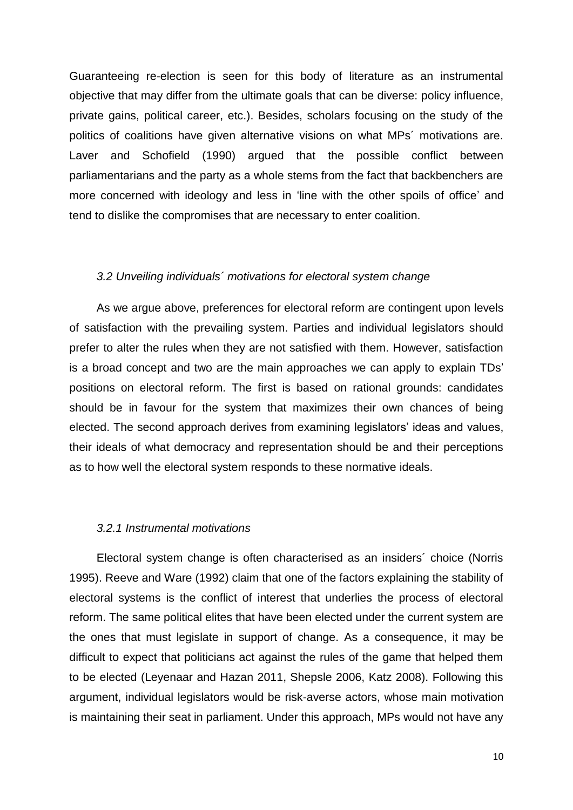Guaranteeing re-election is seen for this body of literature as an instrumental objective that may differ from the ultimate goals that can be diverse: policy influence, private gains, political career, etc.). Besides, scholars focusing on the study of the politics of coalitions have given alternative visions on what MPs´ motivations are. Laver and Schofield (1990) argued that the possible conflict between parliamentarians and the party as a whole stems from the fact that backbenchers are more concerned with ideology and less in 'line with the other spoils of office' and tend to dislike the compromises that are necessary to enter coalition.

#### *3.2 Unveiling individuals´ motivations for electoral system change*

As we argue above, preferences for electoral reform are contingent upon levels of satisfaction with the prevailing system. Parties and individual legislators should prefer to alter the rules when they are not satisfied with them. However, satisfaction is a broad concept and two are the main approaches we can apply to explain TDs' positions on electoral reform. The first is based on rational grounds: candidates should be in favour for the system that maximizes their own chances of being elected. The second approach derives from examining legislators' ideas and values, their ideals of what democracy and representation should be and their perceptions as to how well the electoral system responds to these normative ideals.

#### *3.2.1 Instrumental motivations*

Electoral system change is often characterised as an insiders´ choice (Norris 1995). Reeve and Ware (1992) claim that one of the factors explaining the stability of electoral systems is the conflict of interest that underlies the process of electoral reform. The same political elites that have been elected under the current system are the ones that must legislate in support of change. As a consequence, it may be difficult to expect that politicians act against the rules of the game that helped them to be elected (Leyenaar and Hazan 2011, Shepsle 2006, Katz 2008). Following this argument, individual legislators would be risk-averse actors, whose main motivation is maintaining their seat in parliament. Under this approach, MPs would not have any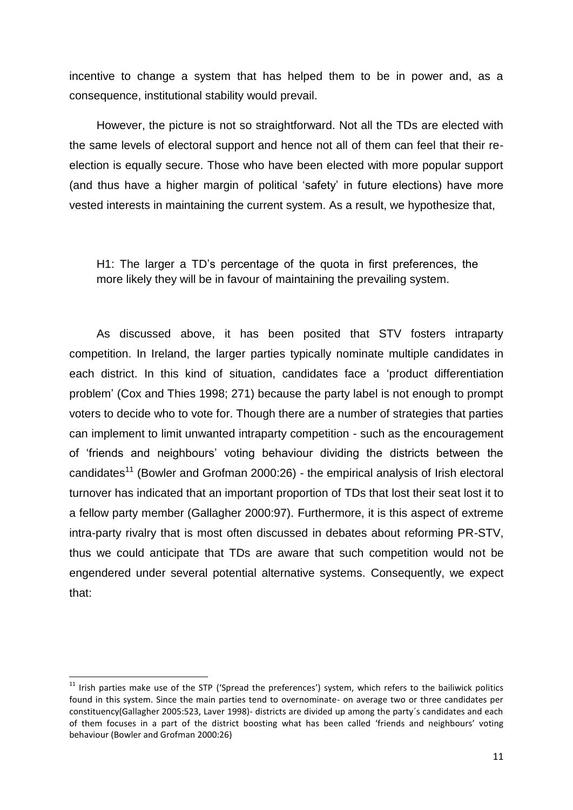incentive to change a system that has helped them to be in power and, as a consequence, institutional stability would prevail.

However, the picture is not so straightforward. Not all the TDs are elected with the same levels of electoral support and hence not all of them can feel that their reelection is equally secure. Those who have been elected with more popular support (and thus have a higher margin of political 'safety' in future elections) have more vested interests in maintaining the current system. As a result, we hypothesize that,

H1: The larger a TD's percentage of the quota in first preferences, the more likely they will be in favour of maintaining the prevailing system.

As discussed above, it has been posited that STV fosters intraparty competition. In Ireland, the larger parties typically nominate multiple candidates in each district. In this kind of situation, candidates face a 'product differentiation problem' (Cox and Thies 1998; 271) because the party label is not enough to prompt voters to decide who to vote for. Though there are a number of strategies that parties can implement to limit unwanted intraparty competition - such as the encouragement of 'friends and neighbours' voting behaviour dividing the districts between the candidates<sup>11</sup> (Bowler and Grofman 2000:26) - the empirical analysis of Irish electoral turnover has indicated that an important proportion of TDs that lost their seat lost it to a fellow party member (Gallagher 2000:97). Furthermore, it is this aspect of extreme intra-party rivalry that is most often discussed in debates about reforming PR-STV, thus we could anticipate that TDs are aware that such competition would not be engendered under several potential alternative systems. Consequently, we expect that:

 $\overline{a}$ 

<sup>&</sup>lt;sup>11</sup> Irish parties make use of the STP ('Spread the preferences') system, which refers to the bailiwick politics found in this system. Since the main parties tend to overnominate- on average two or three candidates per constituency(Gallagher 2005:523, Laver 1998)- districts are divided up among the party´s candidates and each of them focuses in a part of the district boosting what has been called 'friends and neighbours' voting behaviour (Bowler and Grofman 2000:26)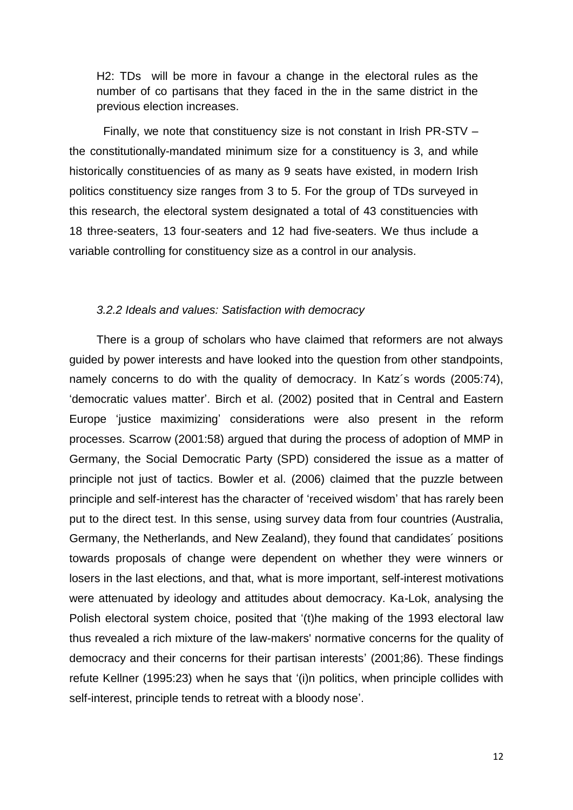H2: TDs will be more in favour a change in the electoral rules as the number of co partisans that they faced in the in the same district in the previous election increases.

Finally, we note that constituency size is not constant in Irish PR-STV – the constitutionally-mandated minimum size for a constituency is 3, and while historically constituencies of as many as 9 seats have existed, in modern Irish politics constituency size ranges from 3 to 5. For the group of TDs surveyed in this research, the electoral system designated a total of 43 constituencies with 18 three-seaters, 13 four-seaters and 12 had five-seaters. We thus include a variable controlling for constituency size as a control in our analysis.

#### *3.2.2 Ideals and values: Satisfaction with democracy*

There is a group of scholars who have claimed that reformers are not always guided by power interests and have looked into the question from other standpoints, namely concerns to do with the quality of democracy. In Katz´s words (2005:74), 'democratic values matter'. Birch et al. (2002) posited that in Central and Eastern Europe 'justice maximizing' considerations were also present in the reform processes. Scarrow (2001:58) argued that during the process of adoption of MMP in Germany, the Social Democratic Party (SPD) considered the issue as a matter of principle not just of tactics. Bowler et al. (2006) claimed that the puzzle between principle and self-interest has the character of 'received wisdom' that has rarely been put to the direct test. In this sense, using survey data from four countries (Australia, Germany, the Netherlands, and New Zealand), they found that candidates´ positions towards proposals of change were dependent on whether they were winners or losers in the last elections, and that, what is more important, self-interest motivations were attenuated by ideology and attitudes about democracy. Ka-Lok, analysing the Polish electoral system choice, posited that '(t)he making of the 1993 electoral law thus revealed a rich mixture of the law-makers' normative concerns for the quality of democracy and their concerns for their partisan interests' (2001;86). These findings refute Kellner (1995:23) when he says that '(i)n politics, when principle collides with self-interest, principle tends to retreat with a bloody nose'.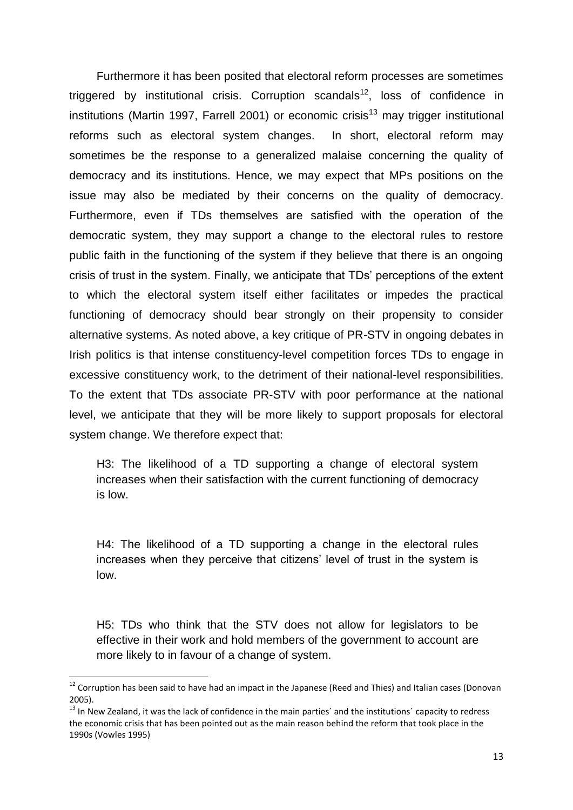Furthermore it has been posited that electoral reform processes are sometimes triggered by institutional crisis. Corruption scandals<sup>12</sup>, loss of confidence in institutions (Martin 1997, Farrell 2001) or economic crisis<sup>13</sup> may trigger institutional reforms such as electoral system changes. In short, electoral reform may sometimes be the response to a generalized malaise concerning the quality of democracy and its institutions. Hence, we may expect that MPs positions on the issue may also be mediated by their concerns on the quality of democracy. Furthermore, even if TDs themselves are satisfied with the operation of the democratic system, they may support a change to the electoral rules to restore public faith in the functioning of the system if they believe that there is an ongoing crisis of trust in the system. Finally, we anticipate that TDs' perceptions of the extent to which the electoral system itself either facilitates or impedes the practical functioning of democracy should bear strongly on their propensity to consider alternative systems. As noted above, a key critique of PR-STV in ongoing debates in Irish politics is that intense constituency-level competition forces TDs to engage in excessive constituency work, to the detriment of their national-level responsibilities. To the extent that TDs associate PR-STV with poor performance at the national level, we anticipate that they will be more likely to support proposals for electoral system change. We therefore expect that:

H3: The likelihood of a TD supporting a change of electoral system increases when their satisfaction with the current functioning of democracy is low.

H4: The likelihood of a TD supporting a change in the electoral rules increases when they perceive that citizens' level of trust in the system is low.

H5: TDs who think that the STV does not allow for legislators to be effective in their work and hold members of the government to account are more likely to in favour of a change of system.

 $\overline{a}$ 

 $12$  Corruption has been said to have had an impact in the Japanese (Reed and Thies) and Italian cases (Donovan 2005).

 $13$  In New Zealand, it was the lack of confidence in the main parties' and the institutions' capacity to redress the economic crisis that has been pointed out as the main reason behind the reform that took place in the 1990s (Vowles 1995)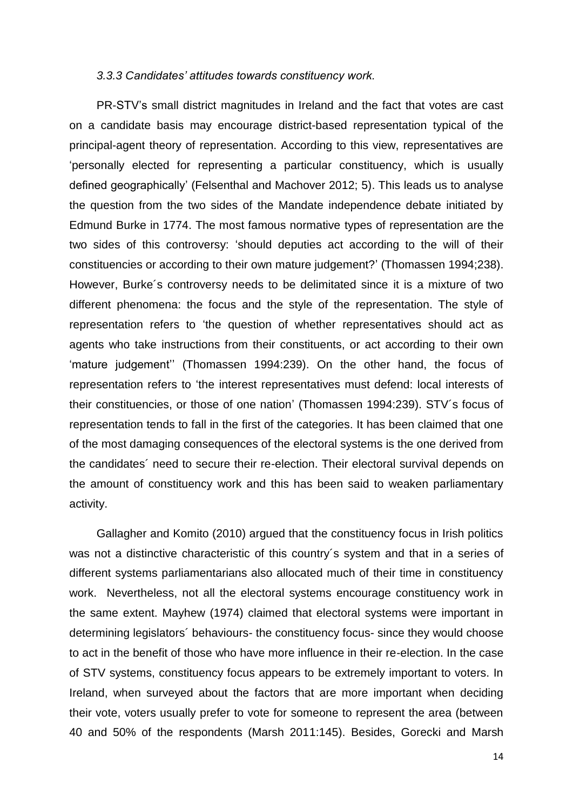#### *3.3.3 Candidates' attitudes towards constituency work.*

PR-STV's small district magnitudes in Ireland and the fact that votes are cast on a candidate basis may encourage district-based representation typical of the principal-agent theory of representation. According to this view, representatives are 'personally elected for representing a particular constituency, which is usually defined geographically' (Felsenthal and Machover 2012; 5). This leads us to analyse the question from the two sides of the Mandate independence debate initiated by Edmund Burke in 1774. The most famous normative types of representation are the two sides of this controversy: 'should deputies act according to the will of their constituencies or according to their own mature judgement?' (Thomassen 1994;238). However, Burke´s controversy needs to be delimitated since it is a mixture of two different phenomena: the focus and the style of the representation. The style of representation refers to 'the question of whether representatives should act as agents who take instructions from their constituents, or act according to their own 'mature judgement'' (Thomassen 1994:239). On the other hand, the focus of representation refers to 'the interest representatives must defend: local interests of their constituencies, or those of one nation' (Thomassen 1994:239). STV´s focus of representation tends to fall in the first of the categories. It has been claimed that one of the most damaging consequences of the electoral systems is the one derived from the candidates´ need to secure their re-election. Their electoral survival depends on the amount of constituency work and this has been said to weaken parliamentary activity.

Gallagher and Komito (2010) argued that the constituency focus in Irish politics was not a distinctive characteristic of this country´s system and that in a series of different systems parliamentarians also allocated much of their time in constituency work. Nevertheless, not all the electoral systems encourage constituency work in the same extent. Mayhew (1974) claimed that electoral systems were important in determining legislators´ behaviours- the constituency focus- since they would choose to act in the benefit of those who have more influence in their re-election. In the case of STV systems, constituency focus appears to be extremely important to voters. In Ireland, when surveyed about the factors that are more important when deciding their vote, voters usually prefer to vote for someone to represent the area (between 40 and 50% of the respondents (Marsh 2011:145). Besides, Gorecki and Marsh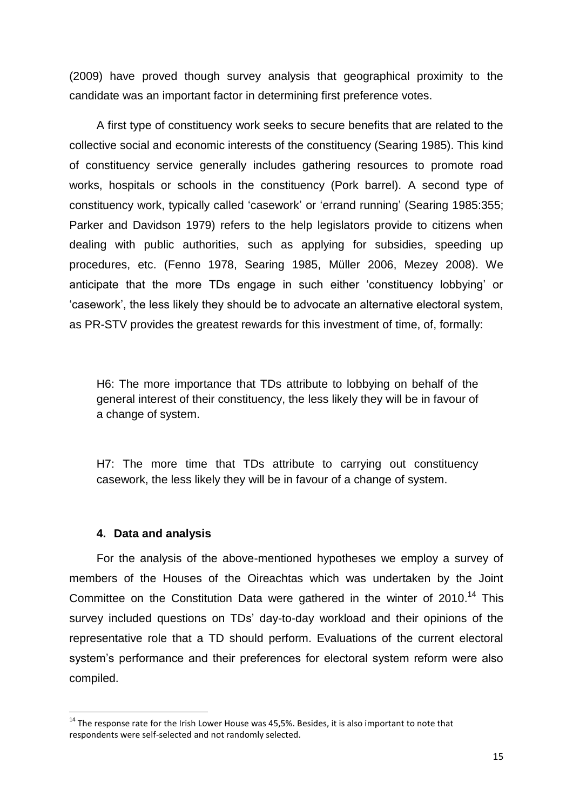(2009) have proved though survey analysis that geographical proximity to the candidate was an important factor in determining first preference votes.

A first type of constituency work seeks to secure benefits that are related to the collective social and economic interests of the constituency (Searing 1985). This kind of constituency service generally includes gathering resources to promote road works, hospitals or schools in the constituency (Pork barrel). A second type of constituency work, typically called 'casework' or 'errand running' (Searing 1985:355; Parker and Davidson 1979) refers to the help legislators provide to citizens when dealing with public authorities, such as applying for subsidies, speeding up procedures, etc. (Fenno 1978, Searing 1985, Müller 2006, Mezey 2008). We anticipate that the more TDs engage in such either 'constituency lobbying' or 'casework', the less likely they should be to advocate an alternative electoral system, as PR-STV provides the greatest rewards for this investment of time, of, formally:

H6: The more importance that TDs attribute to lobbying on behalf of the general interest of their constituency, the less likely they will be in favour of a change of system.

H7: The more time that TDs attribute to carrying out constituency casework, the less likely they will be in favour of a change of system.

#### **4. Data and analysis**

**.** 

For the analysis of the above-mentioned hypotheses we employ a survey of members of the Houses of the Oireachtas which was undertaken by the Joint Committee on the Constitution Data were gathered in the winter of  $2010$ .<sup>14</sup> This survey included questions on TDs' day-to-day workload and their opinions of the representative role that a TD should perform. Evaluations of the current electoral system's performance and their preferences for electoral system reform were also compiled.

 $14$  The response rate for the Irish Lower House was 45,5%. Besides, it is also important to note that respondents were self-selected and not randomly selected.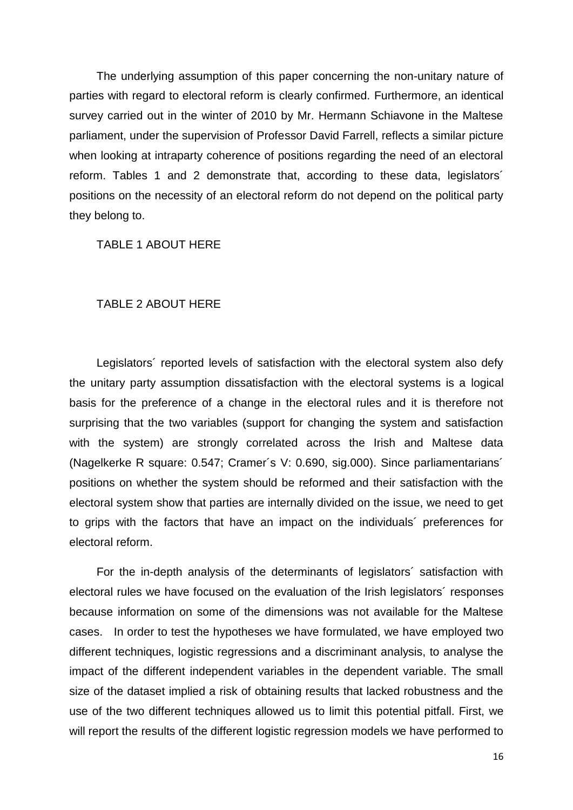The underlying assumption of this paper concerning the non-unitary nature of parties with regard to electoral reform is clearly confirmed. Furthermore, an identical survey carried out in the winter of 2010 by Mr. Hermann Schiavone in the Maltese parliament, under the supervision of Professor David Farrell, reflects a similar picture when looking at intraparty coherence of positions regarding the need of an electoral reform. Tables 1 and 2 demonstrate that, according to these data, legislators´ positions on the necessity of an electoral reform do not depend on the political party they belong to.

TABLE 1 ABOUT HERE

#### TABLE 2 ABOUT HERE

Legislators´ reported levels of satisfaction with the electoral system also defy the unitary party assumption dissatisfaction with the electoral systems is a logical basis for the preference of a change in the electoral rules and it is therefore not surprising that the two variables (support for changing the system and satisfaction with the system) are strongly correlated across the Irish and Maltese data (Nagelkerke R square: 0.547; Cramer´s V: 0.690, sig.000). Since parliamentarians´ positions on whether the system should be reformed and their satisfaction with the electoral system show that parties are internally divided on the issue, we need to get to grips with the factors that have an impact on the individuals´ preferences for electoral reform.

For the in-depth analysis of the determinants of legislators´ satisfaction with electoral rules we have focused on the evaluation of the Irish legislators´ responses because information on some of the dimensions was not available for the Maltese cases. In order to test the hypotheses we have formulated, we have employed two different techniques, logistic regressions and a discriminant analysis, to analyse the impact of the different independent variables in the dependent variable. The small size of the dataset implied a risk of obtaining results that lacked robustness and the use of the two different techniques allowed us to limit this potential pitfall. First, we will report the results of the different logistic regression models we have performed to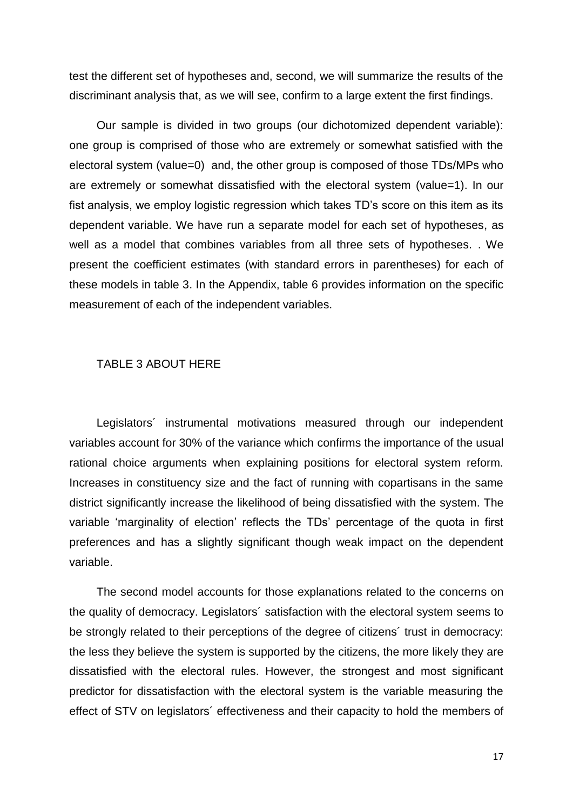test the different set of hypotheses and, second, we will summarize the results of the discriminant analysis that, as we will see, confirm to a large extent the first findings.

Our sample is divided in two groups (our dichotomized dependent variable): one group is comprised of those who are extremely or somewhat satisfied with the electoral system (value=0) and, the other group is composed of those TDs/MPs who are extremely or somewhat dissatisfied with the electoral system (value=1). In our fist analysis, we employ logistic regression which takes TD's score on this item as its dependent variable. We have run a separate model for each set of hypotheses, as well as a model that combines variables from all three sets of hypotheses. . We present the coefficient estimates (with standard errors in parentheses) for each of these models in table 3. In the Appendix, table 6 provides information on the specific measurement of each of the independent variables.

#### TABLE 3 ABOUT HERE

Legislators' instrumental motivations measured through our independent variables account for 30% of the variance which confirms the importance of the usual rational choice arguments when explaining positions for electoral system reform. Increases in constituency size and the fact of running with copartisans in the same district significantly increase the likelihood of being dissatisfied with the system. The variable 'marginality of election' reflects the TDs' percentage of the quota in first preferences and has a slightly significant though weak impact on the dependent variable.

The second model accounts for those explanations related to the concerns on the quality of democracy. Legislators´ satisfaction with the electoral system seems to be strongly related to their perceptions of the degree of citizens´ trust in democracy: the less they believe the system is supported by the citizens, the more likely they are dissatisfied with the electoral rules. However, the strongest and most significant predictor for dissatisfaction with the electoral system is the variable measuring the effect of STV on legislators´ effectiveness and their capacity to hold the members of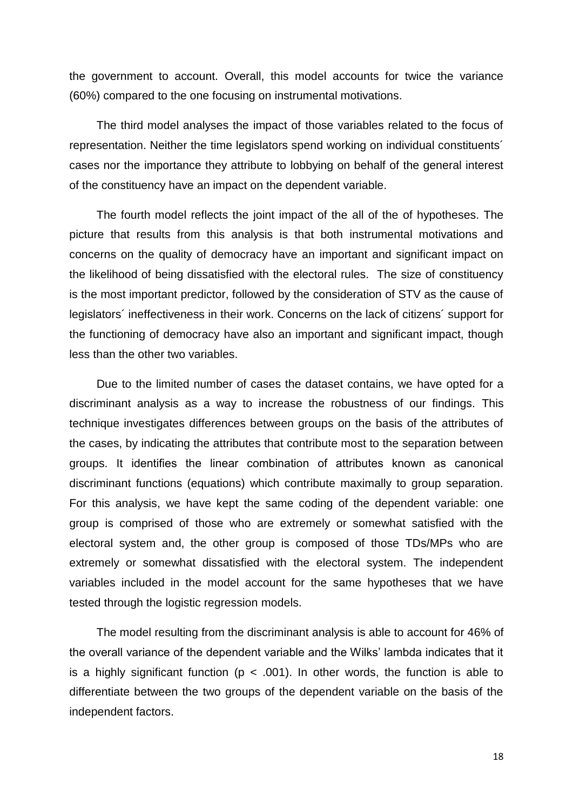the government to account. Overall, this model accounts for twice the variance (60%) compared to the one focusing on instrumental motivations.

The third model analyses the impact of those variables related to the focus of representation. Neither the time legislators spend working on individual constituents´ cases nor the importance they attribute to lobbying on behalf of the general interest of the constituency have an impact on the dependent variable.

The fourth model reflects the joint impact of the all of the of hypotheses. The picture that results from this analysis is that both instrumental motivations and concerns on the quality of democracy have an important and significant impact on the likelihood of being dissatisfied with the electoral rules. The size of constituency is the most important predictor, followed by the consideration of STV as the cause of legislators´ ineffectiveness in their work. Concerns on the lack of citizens´ support for the functioning of democracy have also an important and significant impact, though less than the other two variables.

Due to the limited number of cases the dataset contains, we have opted for a discriminant analysis as a way to increase the robustness of our findings. This technique investigates differences between groups on the basis of the attributes of the cases, by indicating the attributes that contribute most to the separation between groups. It identifies the linear combination of attributes known as canonical discriminant functions (equations) which contribute maximally to group separation. For this analysis, we have kept the same coding of the dependent variable: one group is comprised of those who are extremely or somewhat satisfied with the electoral system and, the other group is composed of those TDs/MPs who are extremely or somewhat dissatisfied with the electoral system. The independent variables included in the model account for the same hypotheses that we have tested through the logistic regression models.

The model resulting from the discriminant analysis is able to account for 46% of the overall variance of the dependent variable and the Wilks' lambda indicates that it is a highly significant function ( $p < .001$ ). In other words, the function is able to differentiate between the two groups of the dependent variable on the basis of the independent factors.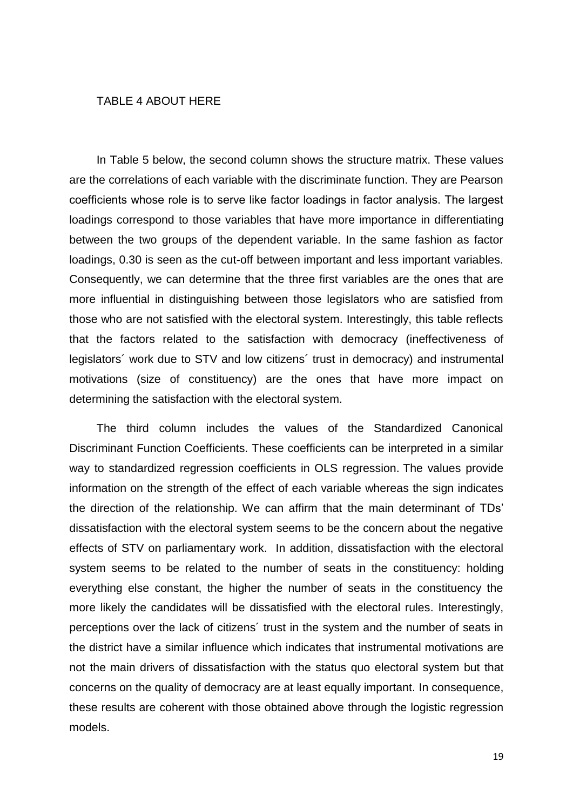#### TABLE 4 ABOUT HERE

In Table 5 below, the second column shows the structure matrix. These values are the correlations of each variable with the discriminate function. They are Pearson coefficients whose role is to serve like factor loadings in factor analysis. The largest loadings correspond to those variables that have more importance in differentiating between the two groups of the dependent variable. In the same fashion as factor loadings, 0.30 is seen as the cut-off between important and less important variables. Consequently, we can determine that the three first variables are the ones that are more influential in distinguishing between those legislators who are satisfied from those who are not satisfied with the electoral system. Interestingly, this table reflects that the factors related to the satisfaction with democracy (ineffectiveness of legislators´ work due to STV and low citizens´ trust in democracy) and instrumental motivations (size of constituency) are the ones that have more impact on determining the satisfaction with the electoral system.

The third column includes the values of the Standardized Canonical Discriminant Function Coefficients. These coefficients can be interpreted in a similar way to standardized regression coefficients in OLS regression. The values provide information on the strength of the effect of each variable whereas the sign indicates the direction of the relationship. We can affirm that the main determinant of TDs' dissatisfaction with the electoral system seems to be the concern about the negative effects of STV on parliamentary work. In addition, dissatisfaction with the electoral system seems to be related to the number of seats in the constituency: holding everything else constant, the higher the number of seats in the constituency the more likely the candidates will be dissatisfied with the electoral rules. Interestingly, perceptions over the lack of citizens´ trust in the system and the number of seats in the district have a similar influence which indicates that instrumental motivations are not the main drivers of dissatisfaction with the status quo electoral system but that concerns on the quality of democracy are at least equally important. In consequence, these results are coherent with those obtained above through the logistic regression models.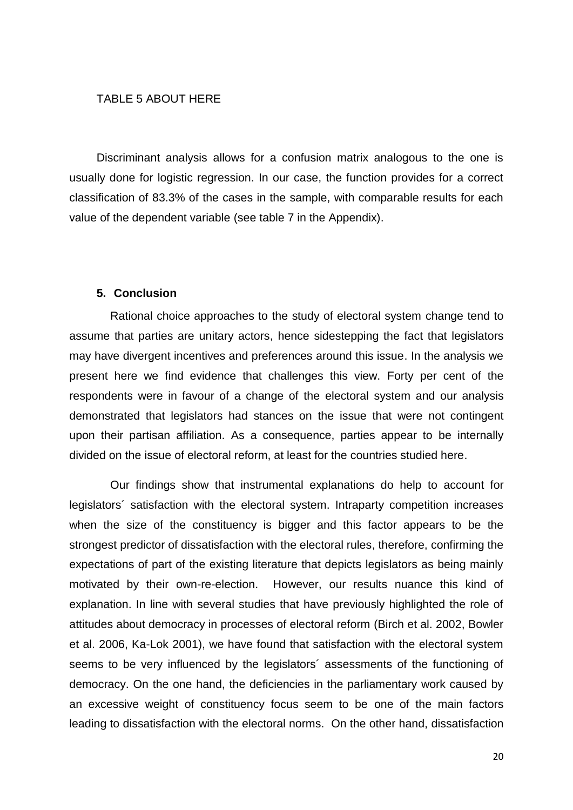#### TABLE 5 ABOUT HERE

Discriminant analysis allows for a confusion matrix analogous to the one is usually done for logistic regression. In our case, the function provides for a correct classification of 83.3% of the cases in the sample, with comparable results for each value of the dependent variable (see table 7 in the Appendix).

#### **5. Conclusion**

Rational choice approaches to the study of electoral system change tend to assume that parties are unitary actors, hence sidestepping the fact that legislators may have divergent incentives and preferences around this issue. In the analysis we present here we find evidence that challenges this view. Forty per cent of the respondents were in favour of a change of the electoral system and our analysis demonstrated that legislators had stances on the issue that were not contingent upon their partisan affiliation. As a consequence, parties appear to be internally divided on the issue of electoral reform, at least for the countries studied here.

Our findings show that instrumental explanations do help to account for legislators´ satisfaction with the electoral system. Intraparty competition increases when the size of the constituency is bigger and this factor appears to be the strongest predictor of dissatisfaction with the electoral rules, therefore, confirming the expectations of part of the existing literature that depicts legislators as being mainly motivated by their own-re-election. However, our results nuance this kind of explanation. In line with several studies that have previously highlighted the role of attitudes about democracy in processes of electoral reform (Birch et al. 2002, Bowler et al. 2006, Ka-Lok 2001), we have found that satisfaction with the electoral system seems to be very influenced by the legislators´ assessments of the functioning of democracy. On the one hand, the deficiencies in the parliamentary work caused by an excessive weight of constituency focus seem to be one of the main factors leading to dissatisfaction with the electoral norms. On the other hand, dissatisfaction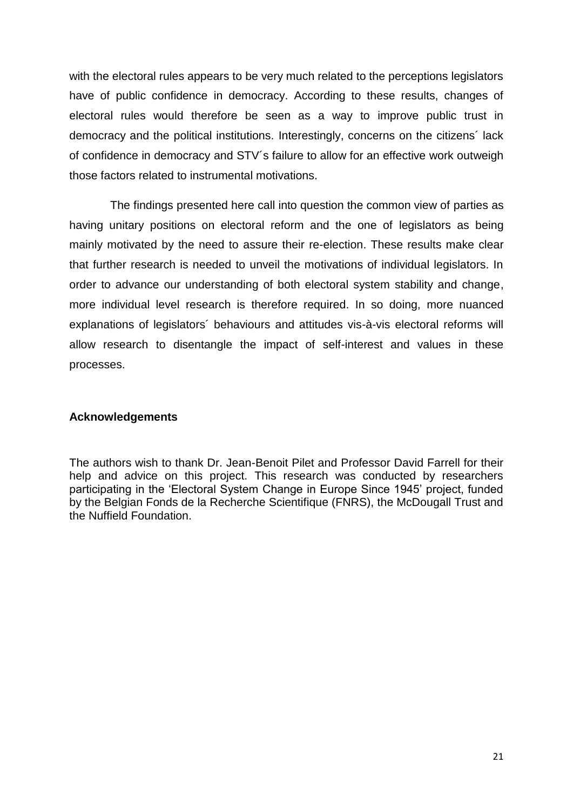with the electoral rules appears to be very much related to the perceptions legislators have of public confidence in democracy. According to these results, changes of electoral rules would therefore be seen as a way to improve public trust in democracy and the political institutions. Interestingly, concerns on the citizens´ lack of confidence in democracy and STV´s failure to allow for an effective work outweigh those factors related to instrumental motivations.

The findings presented here call into question the common view of parties as having unitary positions on electoral reform and the one of legislators as being mainly motivated by the need to assure their re-election. These results make clear that further research is needed to unveil the motivations of individual legislators. In order to advance our understanding of both electoral system stability and change, more individual level research is therefore required. In so doing, more nuanced explanations of legislators´ behaviours and attitudes vis-à-vis electoral reforms will allow research to disentangle the impact of self-interest and values in these processes.

#### **Acknowledgements**

The authors wish to thank Dr. Jean-Benoit Pilet and Professor David Farrell for their help and advice on this project. This research was conducted by researchers participating in the 'Electoral System Change in Europe Since 1945' project, funded by the Belgian Fonds de la Recherche Scientifique (FNRS), the McDougall Trust and the Nuffield Foundation.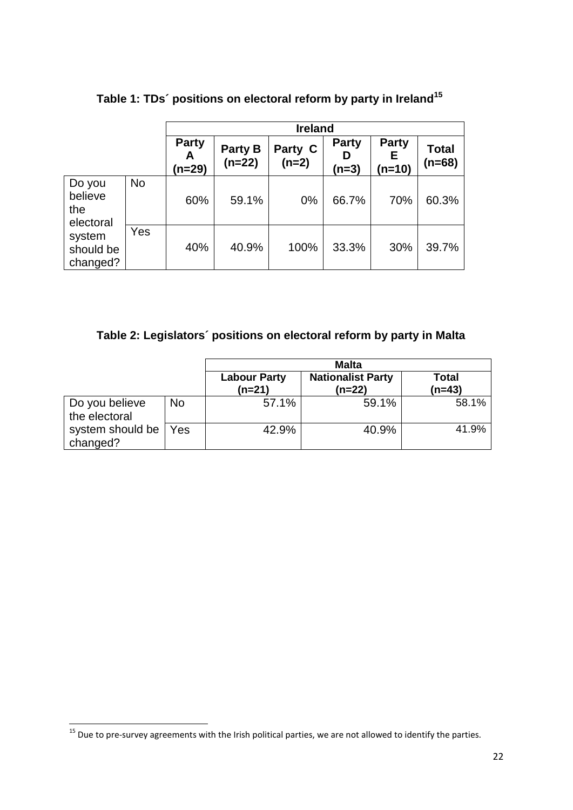|                                       |           | <b>Ireland</b>              |                     |                    |                            |                             |                   |
|---------------------------------------|-----------|-----------------------------|---------------------|--------------------|----------------------------|-----------------------------|-------------------|
|                                       |           | <b>Party</b><br>A<br>(n=29) | Party B<br>$(n=22)$ | Party C<br>$(n=2)$ | <b>Party</b><br>D<br>(n=3) | <b>Party</b><br>Е<br>(n=10) | Total<br>$(n=68)$ |
| Do you<br>believe<br>the<br>electoral | <b>No</b> | 60%                         | 59.1%               | 0%                 | 66.7%                      | 70%                         | 60.3%             |
| system<br>should be<br>changed?       | Yes       | 40%                         | 40.9%               | 100%               | 33.3%                      | 30%                         | 39.7%             |

# **Table 1: TDs´ positions on electoral reform by party in Ireland<sup>15</sup>**

# **Table 2: Legislators´ positions on electoral reform by party in Malta**

|                                 |           | <b>Malta</b>                    |                                      |                 |
|---------------------------------|-----------|---------------------------------|--------------------------------------|-----------------|
|                                 |           | <b>Labour Party</b><br>$(n=21)$ | <b>Nationalist Party</b><br>$(n=22)$ | Total<br>(n=43) |
| Do you believe<br>the electoral | <b>No</b> | 57.1%                           | 59.1%                                | 58.1%           |
| system should be<br>changed?    | Yes       | 42.9%                           | 40.9%                                | 41.9%           |

**<sup>.</sup>** <sup>15</sup> Due to pre-survey agreements with the Irish political parties, we are not allowed to identify the parties.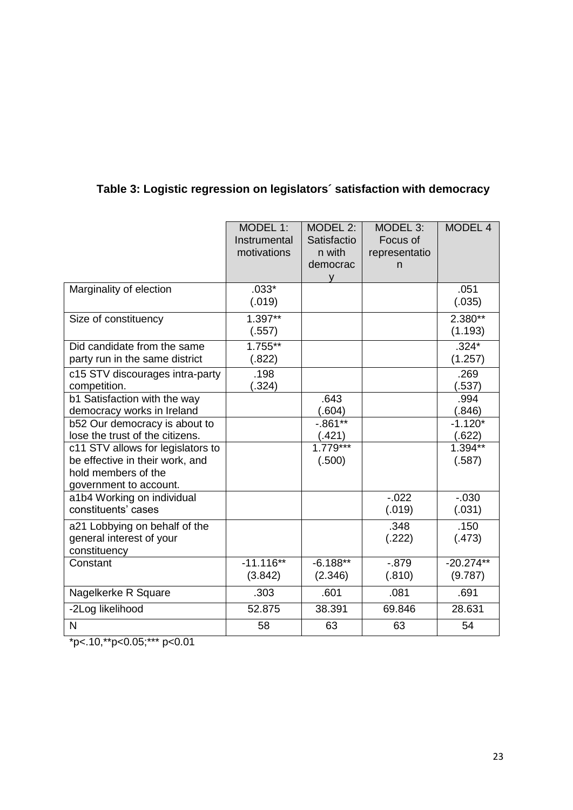|                                                                                                                       | MODEL 1:<br>Instrumental<br>motivations | MODEL 2:<br>Satisfactio<br>n with<br>democrac<br>v | MODEL 3:<br>Focus of<br>representatio<br>n. | <b>MODEL 4</b>         |
|-----------------------------------------------------------------------------------------------------------------------|-----------------------------------------|----------------------------------------------------|---------------------------------------------|------------------------|
| Marginality of election                                                                                               | $.033*$<br>(.019)                       |                                                    |                                             | .051<br>(.035)         |
| Size of constituency                                                                                                  | $1.397**$<br>(.557)                     |                                                    |                                             | 2.380**<br>(1.193)     |
| Did candidate from the same<br>party run in the same district                                                         | $1.755***$<br>(.822)                    |                                                    |                                             | $.324*$<br>(1.257)     |
| c15 STV discourages intra-party<br>competition.                                                                       | .198<br>(.324)                          |                                                    |                                             | .269<br>(.537)         |
| b1 Satisfaction with the way<br>democracy works in Ireland                                                            |                                         | .643<br>(.604)                                     |                                             | .994<br>(.846)         |
| b52 Our democracy is about to<br>lose the trust of the citizens.                                                      |                                         | $-.861**$<br>(.421)                                |                                             | $-1.120*$<br>(.622)    |
| c11 STV allows for legislators to<br>be effective in their work, and<br>hold members of the<br>government to account. |                                         | $1.779***$<br>(.500)                               |                                             | 1.394**<br>(.587)      |
| a1b4 Working on individual<br>constituents' cases                                                                     |                                         |                                                    | $-.022$<br>(.019)                           | $-0.030$<br>(.031)     |
| a21 Lobbying on behalf of the<br>general interest of your<br>constituency                                             |                                         |                                                    | .348<br>(.222)                              | .150<br>(.473)         |
| Constant                                                                                                              | $-11.116**$<br>(3.842)                  | $-6.188**$<br>(2.346)                              | $-0.879$<br>(.810)                          | $-20.274**$<br>(9.787) |
| Nagelkerke R Square                                                                                                   | .303                                    | .601                                               | .081                                        | .691                   |
| -2Log likelihood                                                                                                      | 52.875                                  | 38.391                                             | 69.846                                      | 28.631                 |
| N                                                                                                                     | 58                                      | 63                                                 | 63                                          | 54                     |

# **Table 3: Logistic regression on legislators´ satisfaction with democracy**

 $\frac{1}{2}$  \*p<.10,\*\*p<0.05;\*\*\* p<0.01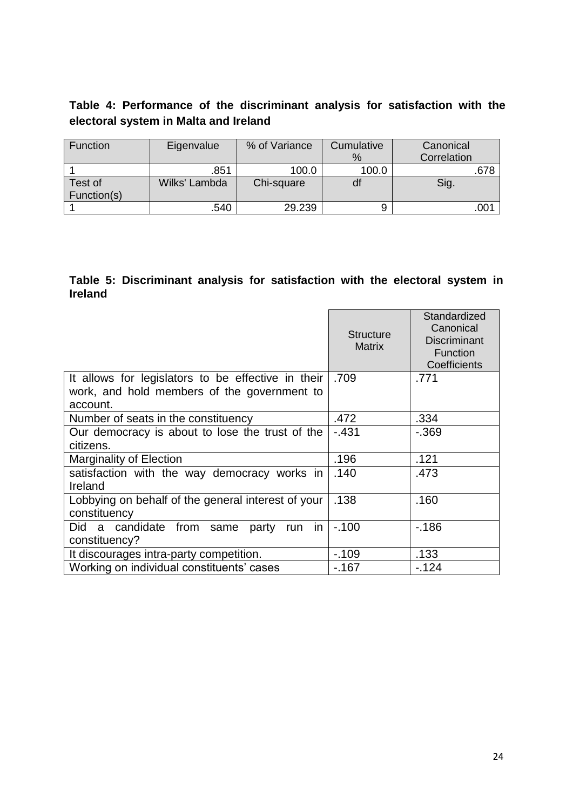## **Table 4: Performance of the discriminant analysis for satisfaction with the electoral system in Malta and Ireland**

| Function    | Eigenvalue    | % of Variance | Cumulative | Canonical   |
|-------------|---------------|---------------|------------|-------------|
|             |               |               | $\%$       | Correlation |
|             | .851          | 100.0         | 100.0      | .678        |
| Test of     | Wilks' Lambda | Chi-square    | dt         | Sig.        |
| Function(s) |               |               |            |             |
|             | 540           | 29.239        |            | .001        |

### **Table 5: Discriminant analysis for satisfaction with the electoral system in Ireland**

|                                                                    | <b>Structure</b><br><b>Matrix</b> | Standardized<br>Canonical<br>Discriminant<br>Function<br>Coefficients |
|--------------------------------------------------------------------|-----------------------------------|-----------------------------------------------------------------------|
| It allows for legislators to be effective in their                 | .709                              | .771                                                                  |
| work, and hold members of the government to<br>account.            |                                   |                                                                       |
| Number of seats in the constituency                                | .472                              | .334                                                                  |
| Our democracy is about to lose the trust of the                    | $-.431$                           | $-0.369$                                                              |
| citizens.                                                          |                                   |                                                                       |
| <b>Marginality of Election</b>                                     | .196                              | .121                                                                  |
| satisfaction with the way democracy works in<br>Ireland            | .140                              | .473                                                                  |
| Lobbying on behalf of the general interest of your<br>constituency | .138                              | .160                                                                  |
| Did a candidate from same<br>run in<br>party                       | $-100$                            | $-186$                                                                |
| constituency?                                                      |                                   |                                                                       |
| It discourages intra-party competition.                            | $-109$                            | .133                                                                  |
| Working on individual constituents' cases                          | $-167$                            | $-124$                                                                |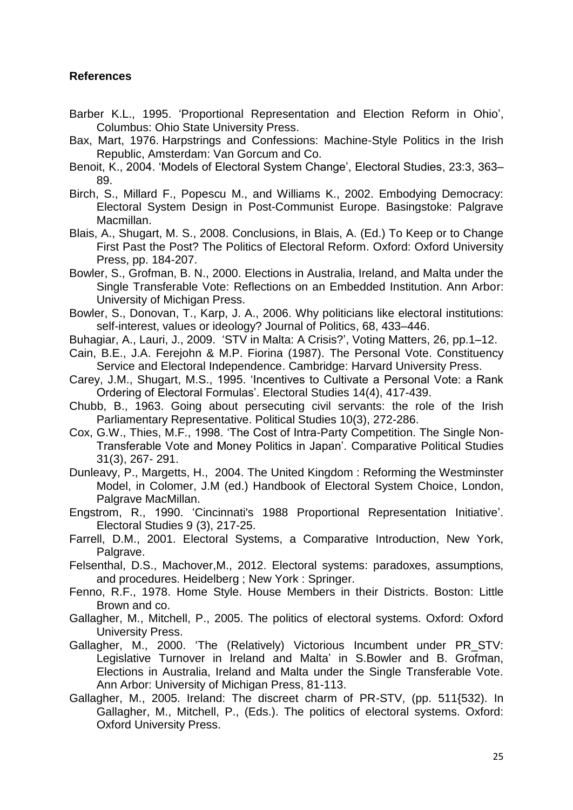## **References**

- Barber K.L., 1995. 'Proportional Representation and Election Reform in Ohio', Columbus: Ohio State University Press.
- Bax, Mart, 1976. Harpstrings and Confessions: Machine-Style Politics in the Irish Republic, Amsterdam: Van Gorcum and Co.
- Benoit, K., 2004. 'Models of Electoral System Change', Electoral Studies, 23:3, 363– 89.
- Birch, S., Millard F., Popescu M., and Williams K., 2002. Embodying Democracy: Electoral System Design in Post-Communist Europe. Basingstoke: Palgrave Macmillan.
- Blais, A., Shugart, M. S., 2008. Conclusions, in Blais, A. (Ed.) To Keep or to Change First Past the Post? The Politics of Electoral Reform. Oxford: Oxford University Press, pp. 184-207.
- Bowler, S., Grofman, B. N., 2000. Elections in Australia, Ireland, and Malta under the Single Transferable Vote: Reflections on an Embedded Institution. Ann Arbor: University of Michigan Press.
- Bowler, S., Donovan, T., Karp, J. A., 2006. Why politicians like electoral institutions: self-interest, values or ideology? Journal of Politics, 68, 433–446.
- Buhagiar, A., Lauri, J., 2009. 'STV in Malta: A Crisis?', Voting Matters, 26, pp.1–12.
- Cain, B.E., J.A. Ferejohn & M.P. Fiorina (1987). The Personal Vote. Constituency Service and Electoral Independence. Cambridge: Harvard University Press.
- Carey, J.M., Shugart, M.S., 1995. 'Incentives to Cultivate a Personal Vote: a Rank Ordering of Electoral Formulas'. Electoral Studies 14(4), 417-439.
- Chubb, B., 1963. Going about persecuting civil servants: the role of the Irish Parliamentary Representative. Political Studies 10(3), 272-286.
- Cox, G.W., Thies, M.F., 1998. 'The Cost of Intra-Party Competition. The Single Non-Transferable Vote and Money Politics in Japan'. Comparative Political Studies 31(3), 267- 291.
- Dunleavy, P., Margetts, H., 2004. The United Kingdom : Reforming the Westminster Model, in Colomer, J.M (ed.) Handbook of Electoral System Choice, London, Palgrave MacMillan.
- Engstrom, R., 1990. 'Cincinnati's 1988 Proportional Representation Initiative'. Electoral Studies 9 (3), 217-25.
- Farrell, D.M., 2001. Electoral Systems, a Comparative Introduction, New York, Palgrave.
- Felsenthal, D.S., Machover,M., 2012. Electoral systems: paradoxes, assumptions, and procedures. Heidelberg ; New York : Springer.
- Fenno, R.F., 1978. Home Style. House Members in their Districts. Boston: Little Brown and co.
- Gallagher, M., Mitchell, P., 2005. The politics of electoral systems. Oxford: Oxford University Press.
- Gallagher, M., 2000. 'The (Relatively) Victorious Incumbent under PR\_STV: Legislative Turnover in Ireland and Malta' in S.Bowler and B. Grofman, Elections in Australia, Ireland and Malta under the Single Transferable Vote. Ann Arbor: University of Michigan Press, 81-113.
- Gallagher, M., 2005. Ireland: The discreet charm of PR-STV, (pp. 511{532). In Gallagher, M., Mitchell, P., (Eds.). The politics of electoral systems. Oxford: Oxford University Press.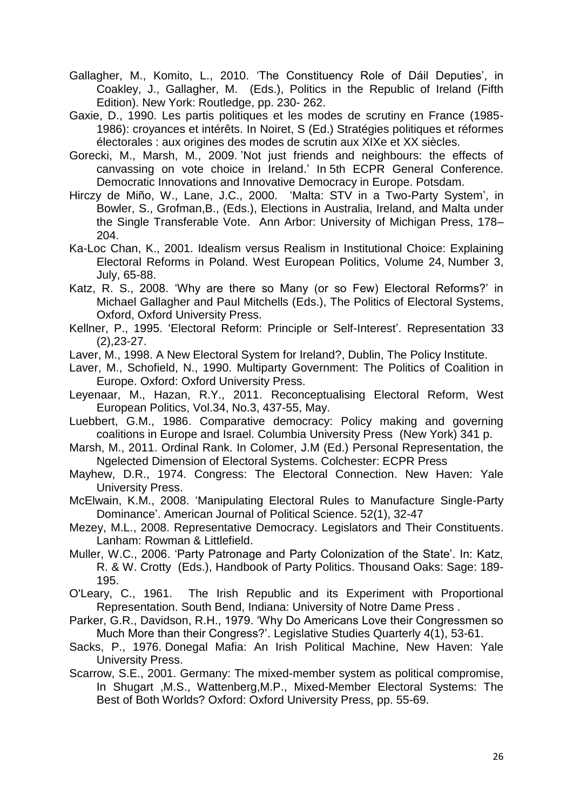- Gallagher, M., Komito, L., 2010. 'The Constituency Role of Dáil Deputies', in Coakley, J., Gallagher, M. (Eds.), Politics in the Republic of Ireland (Fifth Edition). New York: Routledge, pp. 230- 262.
- Gaxie, D., 1990. Les partis politiques et les modes de scrutiny en France (1985- 1986): croyances et intérêts. In Noiret, S (Ed.) Stratégies politiques et réformes électorales : aux origines des modes de scrutin aux XIXe et XX siècles.
- [Gorecki, M.](http://povb-ecpr.org/biblio/author/10?sort=author&order=asc), [Marsh,](http://povb-ecpr.org/biblio/author/11?sort=author&order=asc) M., 2009. ['Not just friends and neighbours: the effects of](http://povb-ecpr.org/node/57)  [canvassing on vote choice in Ireland.](http://povb-ecpr.org/node/57)' In 5th ECPR General Conference. Democratic Innovations and Innovative Democracy in Europe. Potsdam.
- Hirczy de Miño, W., Lane, J.C., 2000. 'Malta: STV in a Two-Party System', in Bowler, S., Grofman,B., (Eds.), Elections in Australia, Ireland, and Malta under the Single Transferable Vote. Ann Arbor: University of Michigan Press, 178– 204.
- Ka-Loc Chan, K., 2001. Idealism versus Realism in Institutional Choice: Explaining Electoral Reforms in Poland. West European Politics, Volume 24, Number 3, July, 65-88.
- Katz, R. S., 2008. 'Why are there so Many (or so Few) Electoral Reforms?' in Michael Gallagher and Paul Mitchells (Eds.), The Politics of Electoral Systems, Oxford, Oxford University Press.
- Kellner, P., 1995. 'Electoral Reform: Principle or Self-Interest'. Representation 33 (2),23-27.
- Laver, M., 1998. A New Electoral System for Ireland?, Dublin, The Policy Institute.
- Laver, M., Schofield, N., 1990. Multiparty Government: The Politics of Coalition in Europe. Oxford: Oxford University Press.
- Leyenaar, M., Hazan, R.Y., 2011. Reconceptualising Electoral Reform, West European Politics, Vol.34, No.3, 437-55, May.
- Luebbert, G.M., 1986. Comparative democracy: Policy making and governing coalitions in Europe and Israel. Columbia University Press (New York) 341 p.
- Marsh, M., 2011. Ordinal Rank. In Colomer, J.M (Ed.) Personal Representation, the Ngelected Dimension of Electoral Systems. Colchester: ECPR Press
- Mayhew, D.R., 1974. Congress: The Electoral Connection. New Haven: Yale University Press.
- McElwain, K.M., 2008. 'Manipulating Electoral Rules to Manufacture Single-Party Dominance'. American Journal of Political Science. 52(1), 32-47
- Mezey, M.L., 2008. Representative Democracy. Legislators and Their Constituents. Lanham: Rowman & Littlefield.
- Muller, W.C., 2006. 'Party Patronage and Party Colonization of the State'. In: Katz, R. & W. Crotty (Eds.), Handbook of Party Politics. Thousand Oaks: Sage: 189- 195.
- O'Leary, C., 1961. The Irish Republic and its Experiment with Proportional Representation. South Bend, Indiana: University of Notre Dame Press .
- Parker, G.R., Davidson, R.H., 1979. 'Why Do Americans Love their Congressmen so Much More than their Congress?'. Legislative Studies Quarterly 4(1), 53-61.
- Sacks, P., 1976. Donegal Mafia: An Irish Political Machine, New Haven: Yale University Press.
- Scarrow, S.E., 2001. Germany: The mixed-member system as political compromise, In Shugart ,M.S., Wattenberg,M.P., Mixed-Member Electoral Systems: The Best of Both Worlds? Oxford: Oxford University Press, pp. 55-69.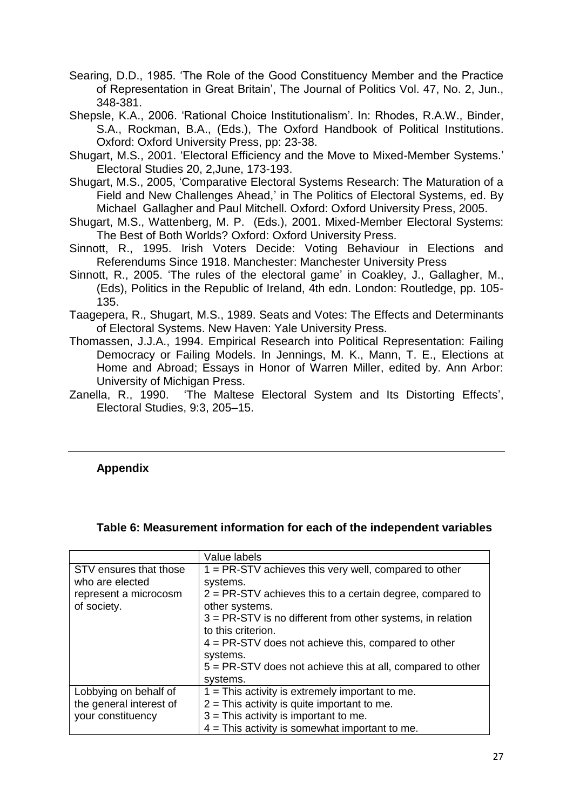Searing, D.D., 1985. 'The Role of the Good Constituency Member and the Practice of Representation in Great Britain', The Journal of Politics Vol. 47, No. 2, Jun., 348-381.

Shepsle, K.A., 2006. 'Rational Choice Institutionalism'. In: Rhodes, R.A.W., Binder, S.A., Rockman, B.A., (Eds.), The Oxford Handbook of Political Institutions. Oxford: Oxford University Press, pp: 23-38.

Shugart, M.S., 2001. 'Electoral Efficiency and the Move to Mixed-Member Systems.' Electoral Studies 20, 2,June, 173-193.

Shugart, M.S., 2005, 'Comparative Electoral Systems Research: The Maturation of a Field and New Challenges Ahead,' in The Politics of Electoral Systems, ed. By Michael Gallagher and Paul Mitchell. Oxford: Oxford University Press, 2005.

- Shugart, M.S., Wattenberg, M. P. (Eds.), 2001. Mixed-Member Electoral Systems: The Best of Both Worlds? Oxford: Oxford University Press.
- Sinnott, R., 1995. Irish Voters Decide: Voting Behaviour in Elections and Referendums Since 1918. Manchester: Manchester University Press
- Sinnott, R., 2005. 'The rules of the electoral game' in Coakley, J., Gallagher, M., (Eds), Politics in the Republic of Ireland, 4th edn. London: Routledge, pp. 105- 135.
- Taagepera, R., Shugart, M.S., 1989. Seats and Votes: The Effects and Determinants of Electoral Systems. New Haven: Yale University Press.
- Thomassen, J.J.A., 1994. Empirical Research into Political Representation: Failing Democracy or Failing Models. In Jennings, M. K., Mann, T. E., Elections at Home and Abroad; Essays in Honor of Warren Miller, edited by. Ann Arbor: University of Michigan Press.
- Zanella, R., 1990. 'The Maltese Electoral System and Its Distorting Effects', Electoral Studies, 9:3, 205–15.

## **Appendix**

#### **Table 6: Measurement information for each of the independent variables**

|                                                                                   | Value labels                                                                                                                                                                                                                        |
|-----------------------------------------------------------------------------------|-------------------------------------------------------------------------------------------------------------------------------------------------------------------------------------------------------------------------------------|
| STV ensures that those<br>who are elected<br>represent a microcosm<br>of society. | $1 = PR-STV$ achieves this very well, compared to other<br>systems.<br>$2 = PR-STV$ achieves this to a certain degree, compared to<br>other systems.                                                                                |
|                                                                                   | $3 = PR-STV$ is no different from other systems, in relation<br>to this criterion.<br>$4 = PR-STV$ does not achieve this, compared to other<br>systems.<br>$5 = PR-STV$ does not achieve this at all, compared to other<br>systems. |
| Lobbying on behalf of<br>the general interest of<br>your constituency             | $1 =$ This activity is extremely important to me.<br>$2$ = This activity is quite important to me.<br>$3$ = This activity is important to me.<br>$4 =$ This activity is somewhat important to me.                                   |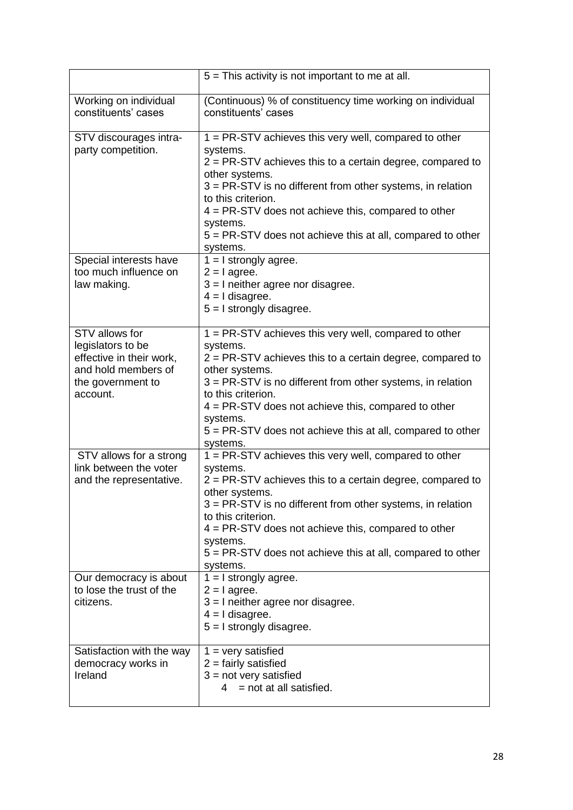|                                                                                                                         | $5 =$ This activity is not important to me at all.                                                                                                                                                                                                                                                                                                                                      |
|-------------------------------------------------------------------------------------------------------------------------|-----------------------------------------------------------------------------------------------------------------------------------------------------------------------------------------------------------------------------------------------------------------------------------------------------------------------------------------------------------------------------------------|
| Working on individual<br>constituents' cases                                                                            | (Continuous) % of constituency time working on individual<br>constituents' cases                                                                                                                                                                                                                                                                                                        |
| STV discourages intra-<br>party competition.                                                                            | 1 = PR-STV achieves this very well, compared to other<br>systems.<br>$2 = PR-STV$ achieves this to a certain degree, compared to<br>other systems.<br>$3 = PR-STV$ is no different from other systems, in relation<br>to this criterion.<br>$4 = PR-STV$ does not achieve this, compared to other<br>systems.<br>5 = PR-STV does not achieve this at all, compared to other<br>systems. |
| Special interests have<br>too much influence on<br>law making.                                                          | $1 = I$ strongly agree.<br>$2 = 1$ agree.<br>$3 = 1$ neither agree nor disagree.<br>$4 = 1$ disagree.<br>$5 = 1$ strongly disagree.                                                                                                                                                                                                                                                     |
| STV allows for<br>legislators to be<br>effective in their work,<br>and hold members of<br>the government to<br>account. | 1 = PR-STV achieves this very well, compared to other<br>systems.<br>$2 = PR-STV$ achieves this to a certain degree, compared to<br>other systems.<br>$3 = PR-STV$ is no different from other systems, in relation<br>to this criterion.<br>$4 = PR-STV$ does not achieve this, compared to other<br>systems.<br>5 = PR-STV does not achieve this at all, compared to other<br>systems. |
| STV allows for a strong<br>link between the voter<br>and the representative.                                            | 1 = PR-STV achieves this very well, compared to other<br>systems.<br>$2 = PR-STV$ achieves this to a certain degree, compared to<br>other systems.<br>3 = PR-STV is no different from other systems, in relation<br>to this criterion.<br>$4 = PR-STV$ does not achieve this, compared to other<br>systems.<br>5 = PR-STV does not achieve this at all, compared to other<br>systems.   |
| Our democracy is about<br>to lose the trust of the<br>citizens.                                                         | $1 = I$ strongly agree.<br>$2 = 1$ agree.<br>$3 = 1$ neither agree nor disagree.<br>$4 = 1$ disagree.<br>$5 = 1$ strongly disagree.                                                                                                                                                                                                                                                     |
| Satisfaction with the way<br>democracy works in<br>Ireland                                                              | $1 = \text{very satisfied}$<br>$2 =$ fairly satisfied<br>$3 = not very satisfied$<br>$4 = not at all satisfied.$                                                                                                                                                                                                                                                                        |